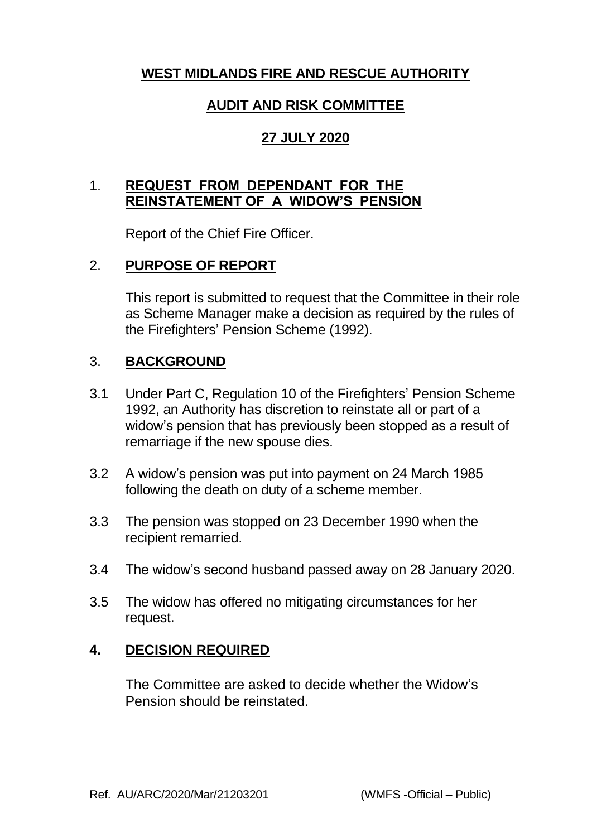# **WEST MIDLANDS FIRE AND RESCUE AUTHORITY**

## **AUDIT AND RISK COMMITTEE**

# **27 JULY 2020**

## 1. **REQUEST FROM DEPENDANT FOR THE REINSTATEMENT OF A WIDOW'S PENSION**

Report of the Chief Fire Officer.

## 2. **PURPOSE OF REPORT**

This report is submitted to request that the Committee in their role as Scheme Manager make a decision as required by the rules of the Firefighters' Pension Scheme (1992).

## 3. **BACKGROUND**

- 3.1 Under Part C, Regulation 10 of the Firefighters' Pension Scheme 1992, an Authority has discretion to reinstate all or part of a widow's pension that has previously been stopped as a result of remarriage if the new spouse dies.
- 3.2 A widow's pension was put into payment on 24 March 1985 following the death on duty of a scheme member.
- 3.3 The pension was stopped on 23 December 1990 when the recipient remarried.
- 3.4 The widow's second husband passed away on 28 January 2020.
- 3.5 The widow has offered no mitigating circumstances for her request.

#### **4. DECISION REQUIRED**

The Committee are asked to decide whether the Widow's Pension should be reinstated.